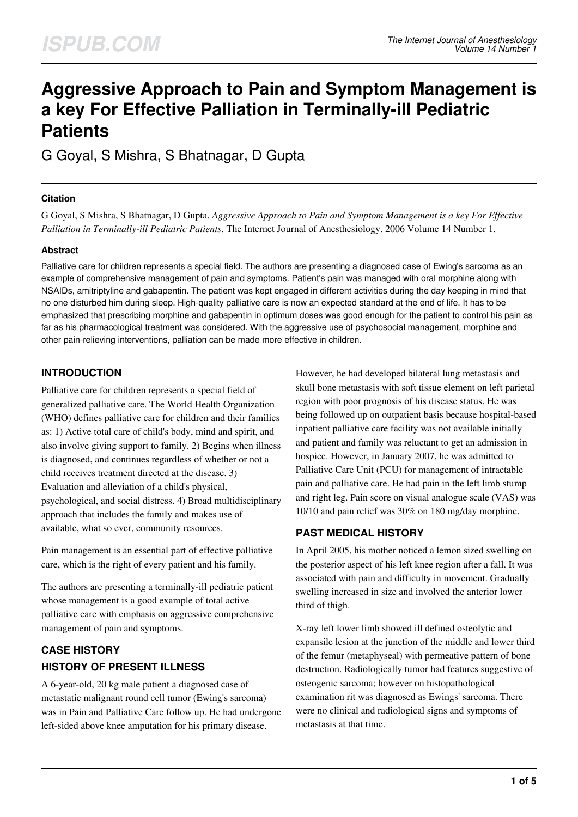# **Aggressive Approach to Pain and Symptom Management is a key For Effective Palliation in Terminally-ill Pediatric Patients**

G Goyal, S Mishra, S Bhatnagar, D Gupta

## **Citation**

G Goyal, S Mishra, S Bhatnagar, D Gupta. *Aggressive Approach to Pain and Symptom Management is a key For Effective Palliation in Terminally-ill Pediatric Patients*. The Internet Journal of Anesthesiology. 2006 Volume 14 Number 1.

## **Abstract**

Palliative care for children represents a special field. The authors are presenting a diagnosed case of Ewing's sarcoma as an example of comprehensive management of pain and symptoms. Patient's pain was managed with oral morphine along with NSAIDs, amitriptyline and gabapentin. The patient was kept engaged in different activities during the day keeping in mind that no one disturbed him during sleep. High-quality palliative care is now an expected standard at the end of life. It has to be emphasized that prescribing morphine and gabapentin in optimum doses was good enough for the patient to control his pain as far as his pharmacological treatment was considered. With the aggressive use of psychosocial management, morphine and other pain-relieving interventions, palliation can be made more effective in children.

## **INTRODUCTION**

Palliative care for children represents a special field of generalized palliative care. The World Health Organization (WHO) defines palliative care for children and their families as: 1) Active total care of child's body, mind and spirit, and also involve giving support to family. 2) Begins when illness is diagnosed, and continues regardless of whether or not a child receives treatment directed at the disease. 3) Evaluation and alleviation of a child's physical, psychological, and social distress. 4) Broad multidisciplinary approach that includes the family and makes use of available, what so ever, community resources.

Pain management is an essential part of effective palliative care, which is the right of every patient and his family.

The authors are presenting a terminally-ill pediatric patient whose management is a good example of total active palliative care with emphasis on aggressive comprehensive management of pain and symptoms.

## **CASE HISTORY HISTORY OF PRESENT ILLNESS**

A 6-year-old, 20 kg male patient a diagnosed case of metastatic malignant round cell tumor (Ewing's sarcoma) was in Pain and Palliative Care follow up. He had undergone left-sided above knee amputation for his primary disease.

However, he had developed bilateral lung metastasis and skull bone metastasis with soft tissue element on left parietal region with poor prognosis of his disease status. He was being followed up on outpatient basis because hospital-based inpatient palliative care facility was not available initially and patient and family was reluctant to get an admission in hospice. However, in January 2007, he was admitted to Palliative Care Unit (PCU) for management of intractable pain and palliative care. He had pain in the left limb stump and right leg. Pain score on visual analogue scale (VAS) was 10/10 and pain relief was 30% on 180 mg/day morphine.

## **PAST MEDICAL HISTORY**

In April 2005, his mother noticed a lemon sized swelling on the posterior aspect of his left knee region after a fall. It was associated with pain and difficulty in movement. Gradually swelling increased in size and involved the anterior lower third of thigh.

X-ray left lower limb showed ill defined osteolytic and expansile lesion at the junction of the middle and lower third of the femur (metaphyseal) with permeative pattern of bone destruction. Radiologically tumor had features suggestive of osteogenic sarcoma; however on histopathological examination rit was diagnosed as Ewings' sarcoma. There were no clinical and radiological signs and symptoms of metastasis at that time.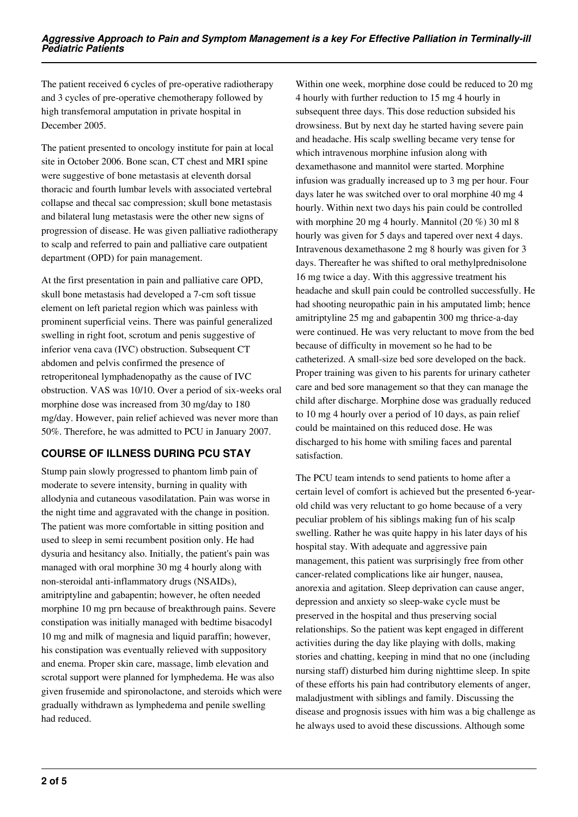The patient received 6 cycles of pre-operative radiotherapy and 3 cycles of pre-operative chemotherapy followed by high transfemoral amputation in private hospital in December 2005.

The patient presented to oncology institute for pain at local site in October 2006. Bone scan, CT chest and MRI spine were suggestive of bone metastasis at eleventh dorsal thoracic and fourth lumbar levels with associated vertebral collapse and thecal sac compression; skull bone metastasis and bilateral lung metastasis were the other new signs of progression of disease. He was given palliative radiotherapy to scalp and referred to pain and palliative care outpatient department (OPD) for pain management.

At the first presentation in pain and palliative care OPD, skull bone metastasis had developed a 7-cm soft tissue element on left parietal region which was painless with prominent superficial veins. There was painful generalized swelling in right foot, scrotum and penis suggestive of inferior vena cava (IVC) obstruction. Subsequent CT abdomen and pelvis confirmed the presence of retroperitoneal lymphadenopathy as the cause of IVC obstruction. VAS was 10/10. Over a period of six-weeks oral morphine dose was increased from 30 mg/day to 180 mg/day. However, pain relief achieved was never more than 50%. Therefore, he was admitted to PCU in January 2007.

## **COURSE OF ILLNESS DURING PCU STAY**

Stump pain slowly progressed to phantom limb pain of moderate to severe intensity, burning in quality with allodynia and cutaneous vasodilatation. Pain was worse in the night time and aggravated with the change in position. The patient was more comfortable in sitting position and used to sleep in semi recumbent position only. He had dysuria and hesitancy also. Initially, the patient's pain was managed with oral morphine 30 mg 4 hourly along with non-steroidal anti-inflammatory drugs (NSAIDs), amitriptyline and gabapentin; however, he often needed morphine 10 mg prn because of breakthrough pains. Severe constipation was initially managed with bedtime bisacodyl 10 mg and milk of magnesia and liquid paraffin; however, his constipation was eventually relieved with suppository and enema. Proper skin care, massage, limb elevation and scrotal support were planned for lymphedema. He was also given frusemide and spironolactone, and steroids which were gradually withdrawn as lymphedema and penile swelling had reduced.

Within one week, morphine dose could be reduced to 20 mg 4 hourly with further reduction to 15 mg 4 hourly in subsequent three days. This dose reduction subsided his drowsiness. But by next day he started having severe pain and headache. His scalp swelling became very tense for which intravenous morphine infusion along with dexamethasone and mannitol were started. Morphine infusion was gradually increased up to 3 mg per hour. Four days later he was switched over to oral morphine 40 mg 4 hourly. Within next two days his pain could be controlled with morphine 20 mg 4 hourly. Mannitol (20 %) 30 ml 8 hourly was given for 5 days and tapered over next 4 days. Intravenous dexamethasone 2 mg 8 hourly was given for 3 days. Thereafter he was shifted to oral methylprednisolone 16 mg twice a day. With this aggressive treatment his headache and skull pain could be controlled successfully. He had shooting neuropathic pain in his amputated limb; hence amitriptyline 25 mg and gabapentin 300 mg thrice-a-day were continued. He was very reluctant to move from the bed because of difficulty in movement so he had to be catheterized. A small-size bed sore developed on the back. Proper training was given to his parents for urinary catheter care and bed sore management so that they can manage the child after discharge. Morphine dose was gradually reduced to 10 mg 4 hourly over a period of 10 days, as pain relief could be maintained on this reduced dose. He was discharged to his home with smiling faces and parental satisfaction.

The PCU team intends to send patients to home after a certain level of comfort is achieved but the presented 6-yearold child was very reluctant to go home because of a very peculiar problem of his siblings making fun of his scalp swelling. Rather he was quite happy in his later days of his hospital stay. With adequate and aggressive pain management, this patient was surprisingly free from other cancer-related complications like air hunger, nausea, anorexia and agitation. Sleep deprivation can cause anger, depression and anxiety so sleep-wake cycle must be preserved in the hospital and thus preserving social relationships. So the patient was kept engaged in different activities during the day like playing with dolls, making stories and chatting, keeping in mind that no one (including nursing staff) disturbed him during nighttime sleep. In spite of these efforts his pain had contributory elements of anger, maladjustment with siblings and family. Discussing the disease and prognosis issues with him was a big challenge as he always used to avoid these discussions. Although some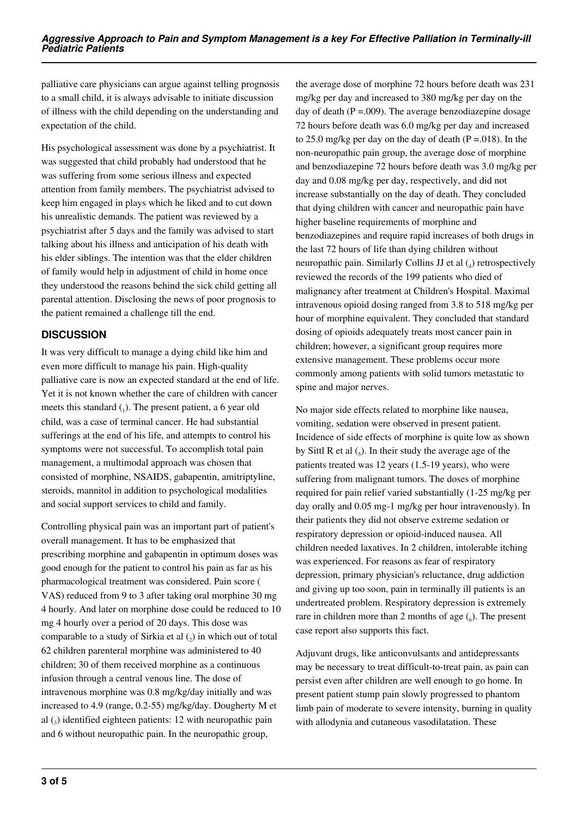palliative care physicians can argue against telling prognosis to a small child, it is always advisable to initiate discussion of illness with the child depending on the understanding and expectation of the child.

His psychological assessment was done by a psychiatrist. It was suggested that child probably had understood that he was suffering from some serious illness and expected attention from family members. The psychiatrist advised to keep him engaged in plays which he liked and to cut down his unrealistic demands. The patient was reviewed by a psychiatrist after 5 days and the family was advised to start talking about his illness and anticipation of his death with his elder siblings. The intention was that the elder children of family would help in adjustment of child in home once they understood the reasons behind the sick child getting all parental attention. Disclosing the news of poor prognosis to the patient remained a challenge till the end.

## **DISCUSSION**

It was very difficult to manage a dying child like him and even more difficult to manage his pain. High-quality palliative care is now an expected standard at the end of life. Yet it is not known whether the care of children with cancer meets this standard  $_{(1)}$ . The present patient, a 6 year old child, was a case of terminal cancer. He had substantial sufferings at the end of his life, and attempts to control his symptoms were not successful. To accomplish total pain management, a multimodal approach was chosen that consisted of morphine, NSAIDS, gabapentin, amitriptyline, steroids, mannitol in addition to psychological modalities and social support services to child and family.

Controlling physical pain was an important part of patient's overall management. It has to be emphasized that prescribing morphine and gabapentin in optimum doses was good enough for the patient to control his pain as far as his pharmacological treatment was considered. Pain score ( VAS) reduced from 9 to 3 after taking oral morphine 30 mg 4 hourly. And later on morphine dose could be reduced to 10 mg 4 hourly over a period of 20 days. This dose was comparable to a study of Sirkia et al  $(_{2})$  in which out of total 62 children parenteral morphine was administered to 40 children; 30 of them received morphine as a continuous infusion through a central venous line. The dose of intravenous morphine was 0.8 mg/kg/day initially and was increased to 4.9 (range, 0.2-55) mg/kg/day. Dougherty M et al  $\left($ <sub>3</sub>) identified eighteen patients: 12 with neuropathic pain and 6 without neuropathic pain. In the neuropathic group,

the average dose of morphine 72 hours before death was 231 mg/kg per day and increased to 380 mg/kg per day on the day of death  $(P = .009)$ . The average benzodiazepine dosage 72 hours before death was 6.0 mg/kg per day and increased to 25.0 mg/kg per day on the day of death ( $P = .018$ ). In the non-neuropathic pain group, the average dose of morphine and benzodiazepine 72 hours before death was 3.0 mg/kg per day and 0.08 mg/kg per day, respectively, and did not increase substantially on the day of death. They concluded that dying children with cancer and neuropathic pain have higher baseline requirements of morphine and benzodiazepines and require rapid increases of both drugs in the last 72 hours of life than dying children without neuropathic pain. Similarly Collins JJ et al (4) retrospectively reviewed the records of the 199 patients who died of malignancy after treatment at Children's Hospital. Maximal intravenous opioid dosing ranged from 3.8 to 518 mg/kg per hour of morphine equivalent. They concluded that standard dosing of opioids adequately treats most cancer pain in children; however, a significant group requires more extensive management. These problems occur more commonly among patients with solid tumors metastatic to spine and major nerves.

No major side effects related to morphine like nausea, vomiting, sedation were observed in present patient. Incidence of side effects of morphine is quite low as shown by Sittl R et al  $\left($ <sub>5</sub> $\right)$ . In their study the average age of the patients treated was 12 years (1.5-19 years), who were suffering from malignant tumors. The doses of morphine required for pain relief varied substantially (1-25 mg/kg per day orally and 0.05 mg-1 mg/kg per hour intravenously). In their patients they did not observe extreme sedation or respiratory depression or opioid-induced nausea. All children needed laxatives. In 2 children, intolerable itching was experienced. For reasons as fear of respiratory depression, primary physician's reluctance, drug addiction and giving up too soon, pain in terminally ill patients is an undertreated problem. Respiratory depression is extremely rare in children more than 2 months of age  $\binom{6}{6}$ . The present case report also supports this fact.

Adjuvant drugs, like anticonvulsants and antidepressants may be necessary to treat difficult-to-treat pain, as pain can persist even after children are well enough to go home. In present patient stump pain slowly progressed to phantom limb pain of moderate to severe intensity, burning in quality with allodynia and cutaneous vasodilatation. These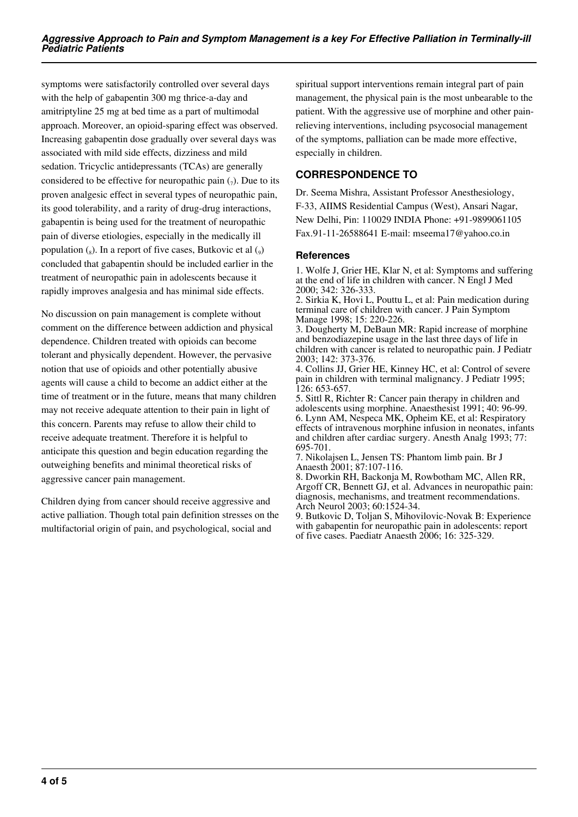symptoms were satisfactorily controlled over several days with the help of gabapentin 300 mg thrice-a-day and amitriptyline 25 mg at bed time as a part of multimodal approach. Moreover, an opioid-sparing effect was observed. Increasing gabapentin dose gradually over several days was associated with mild side effects, dizziness and mild sedation. Tricyclic antidepressants (TCAs) are generally considered to be effective for neuropathic pain  $(7)$ . Due to its proven analgesic effect in several types of neuropathic pain, its good tolerability, and a rarity of drug-drug interactions, gabapentin is being used for the treatment of neuropathic pain of diverse etiologies, especially in the medically ill population  $\binom{1}{8}$ . In a report of five cases, Butkovic et al  $\binom{1}{9}$ concluded that gabapentin should be included earlier in the treatment of neuropathic pain in adolescents because it rapidly improves analgesia and has minimal side effects.

No discussion on pain management is complete without comment on the difference between addiction and physical dependence. Children treated with opioids can become tolerant and physically dependent. However, the pervasive notion that use of opioids and other potentially abusive agents will cause a child to become an addict either at the time of treatment or in the future, means that many children may not receive adequate attention to their pain in light of this concern. Parents may refuse to allow their child to receive adequate treatment. Therefore it is helpful to anticipate this question and begin education regarding the outweighing benefits and minimal theoretical risks of aggressive cancer pain management.

Children dying from cancer should receive aggressive and active palliation. Though total pain definition stresses on the multifactorial origin of pain, and psychological, social and

spiritual support interventions remain integral part of pain management, the physical pain is the most unbearable to the patient. With the aggressive use of morphine and other painrelieving interventions, including psycosocial management of the symptoms, palliation can be made more effective, especially in children.

## **CORRESPONDENCE TO**

Dr. Seema Mishra, Assistant Professor Anesthesiology, F-33, AIIMS Residential Campus (West), Ansari Nagar, New Delhi, Pin: 110029 INDIA Phone: +91-9899061105 Fax.91-11-26588641 E-mail: mseema17@yahoo.co.in

## **References**

1. Wolfe J, Grier HE, Klar N, et al: Symptoms and suffering at the end of life in children with cancer. N Engl J Med 2000; 342: 326-333.

2. Sirkia K, Hovi L, Pouttu L, et al: Pain medication during terminal care of children with cancer. J Pain Symptom Manage 1998; 15: 220-226.

3. Dougherty M, DeBaun MR: Rapid increase of morphine and benzodiazepine usage in the last three days of life in children with cancer is related to neuropathic pain. J Pediatr 2003; 142: 373-376.

4. Collins JJ, Grier HE, Kinney HC, et al: Control of severe pain in children with terminal malignancy. J Pediatr 1995; 126: 653-657.

5. Sittl R, Richter R: Cancer pain therapy in children and adolescents using morphine. Anaesthesist 1991; 40: 96-99. 6. Lynn AM, Nespeca MK, Opheim KE, et al: Respiratory effects of intravenous morphine infusion in neonates, infants and children after cardiac surgery. Anesth Analg 1993; 77: 695-701.

7. Nikolajsen L, Jensen TS: Phantom limb pain. Br J Anaesth 2001; 87:107-116.

8. Dworkin RH, Backonja M, Rowbotham MC, Allen RR, Argoff CR, Bennett GJ, et al. Advances in neuropathic pain: diagnosis, mechanisms, and treatment recommendations. Arch Neurol 2003; 60:1524-34.

9. Butkovic D, Toljan S, Mihovilovic-Novak B: Experience with gabapentin for neuropathic pain in adolescents: report of five cases. Paediatr Anaesth 2006; 16: 325-329.